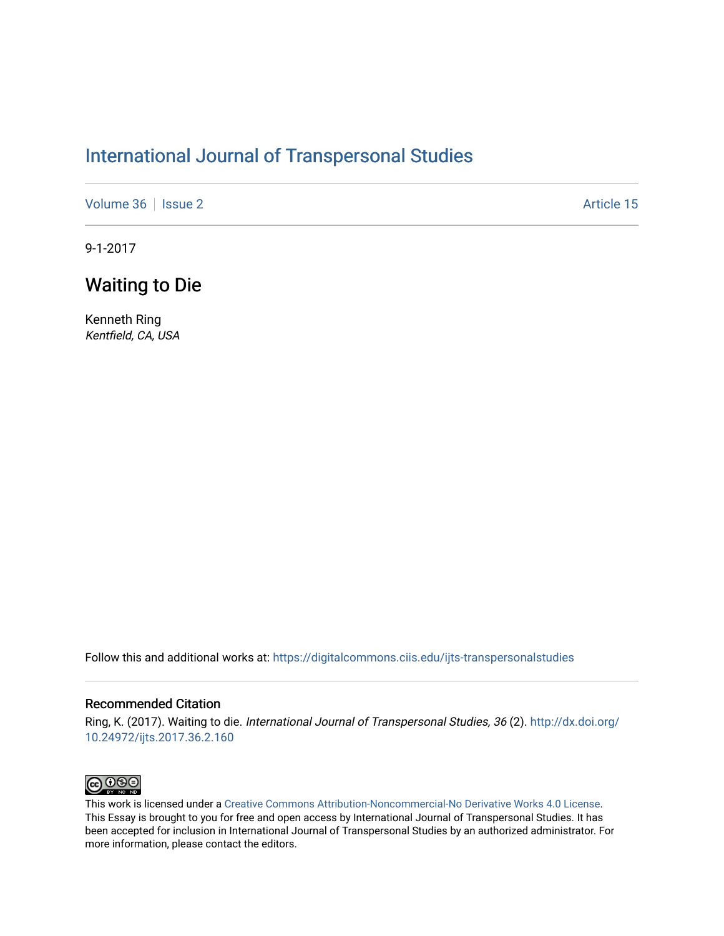## [International Journal of Transpersonal Studies](https://digitalcommons.ciis.edu/ijts-transpersonalstudies)

[Volume 36](https://digitalcommons.ciis.edu/ijts-transpersonalstudies/vol36) | [Issue 2](https://digitalcommons.ciis.edu/ijts-transpersonalstudies/vol36/iss2) Article 15

9-1-2017

## Waiting to Die

Kenneth Ring Kentfield, CA, USA

Follow this and additional works at: [https://digitalcommons.ciis.edu/ijts-transpersonalstudies](https://digitalcommons.ciis.edu/ijts-transpersonalstudies?utm_source=digitalcommons.ciis.edu%2Fijts-transpersonalstudies%2Fvol36%2Fiss2%2F15&utm_medium=PDF&utm_campaign=PDFCoverPages) 

### Recommended Citation

Ring, K. (2017). Waiting to die. International Journal of Transpersonal Studies, 36 (2). [http://dx.doi.org/](http://dx.doi.org/10.24972/ijts.2017.36.2.160) [10.24972/ijts.2017.36.2.160](http://dx.doi.org/10.24972/ijts.2017.36.2.160) 



This work is licensed under a [Creative Commons Attribution-Noncommercial-No Derivative Works 4.0 License.](https://creativecommons.org/licenses/by-nc-nd/4.0/) This Essay is brought to you for free and open access by International Journal of Transpersonal Studies. It has been accepted for inclusion in International Journal of Transpersonal Studies by an authorized administrator. For more information, please contact the editors.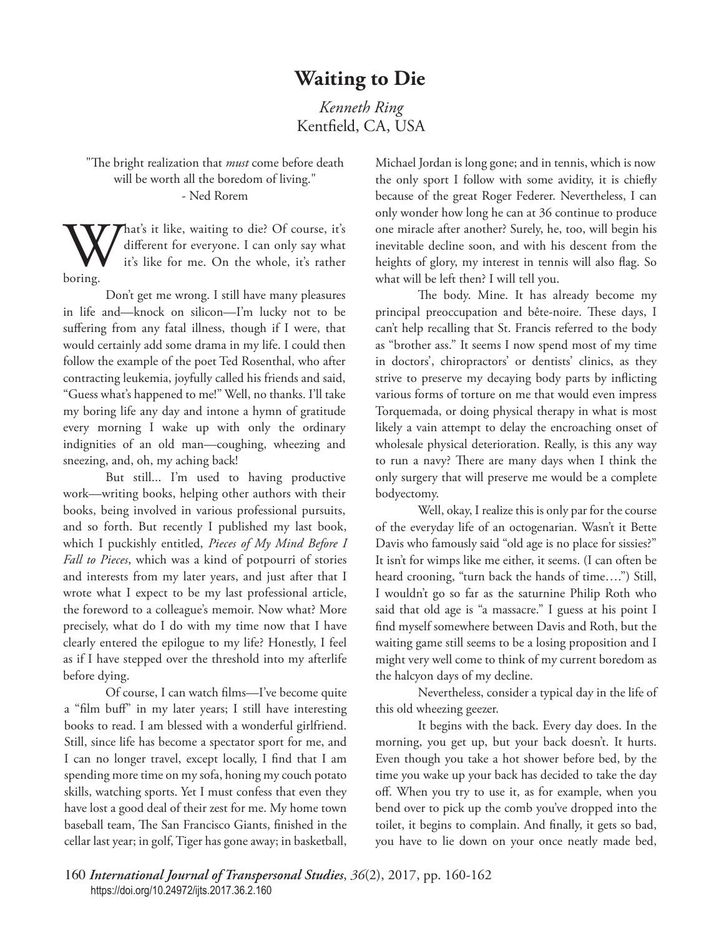# **Waiting to Die**

*Kenneth Ring* Kentfield, CA, USA

"The bright realization that *must* come before death will be worth all the boredom of living." - Ned Rorem

What's it like, waiting to die? Of course, it's different for everyone. I can only say what it's like for me. On the whole, it's rather boring. different for everyone. I can only say what it's like for me. On the whole, it's rather boring.

Don't get me wrong. I still have many pleasures in life and—knock on silicon—I'm lucky not to be suffering from any fatal illness, though if I were, that would certainly add some drama in my life. I could then follow the example of the poet Ted Rosenthal, who after contracting leukemia, joyfully called his friends and said, "Guess what's happened to me!" Well, no thanks. I'll take my boring life any day and intone a hymn of gratitude every morning I wake up with only the ordinary indignities of an old man—coughing, wheezing and sneezing, and, oh, my aching back!

But still... I'm used to having productive work—writing books, helping other authors with their books, being involved in various professional pursuits, and so forth. But recently I published my last book, which I puckishly entitled, *Pieces of My Mind Before I Fall to Pieces*, which was a kind of potpourri of stories and interests from my later years, and just after that I wrote what I expect to be my last professional article, the foreword to a colleague's memoir. Now what? More precisely, what do I do with my time now that I have clearly entered the epilogue to my life? Honestly, I feel as if I have stepped over the threshold into my afterlife before dying.

Of course, I can watch films—I've become quite a "film buff" in my later years; I still have interesting books to read. I am blessed with a wonderful girlfriend. Still, since life has become a spectator sport for me, and I can no longer travel, except locally, I find that I am spending more time on my sofa, honing my couch potato skills, watching sports. Yet I must confess that even they have lost a good deal of their zest for me. My home town baseball team, The San Francisco Giants, finished in the cellar last year; in golf, Tiger has gone away; in basketball, Michael Jordan is long gone; and in tennis, which is now the only sport I follow with some avidity, it is chiefly because of the great Roger Federer. Nevertheless, I can only wonder how long he can at 36 continue to produce one miracle after another? Surely, he, too, will begin his inevitable decline soon, and with his descent from the heights of glory, my interest in tennis will also flag. So what will be left then? I will tell you.

The body. Mine. It has already become my principal preoccupation and bête-noire. These days, I can't help recalling that St. Francis referred to the body as "brother ass." It seems I now spend most of my time in doctors', chiropractors' or dentists' clinics, as they strive to preserve my decaying body parts by inflicting various forms of torture on me that would even impress Torquemada, or doing physical therapy in what is most likely a vain attempt to delay the encroaching onset of wholesale physical deterioration. Really, is this any way to run a navy? There are many days when I think the only surgery that will preserve me would be a complete bodyectomy.

Well, okay, I realize this is only par for the course of the everyday life of an octogenarian. Wasn't it Bette Davis who famously said "old age is no place for sissies?" It isn't for wimps like me either, it seems. (I can often be heard crooning, "turn back the hands of time….") Still, I wouldn't go so far as the saturnine Philip Roth who said that old age is "a massacre." I guess at his point I find myself somewhere between Davis and Roth, but the waiting game still seems to be a losing proposition and I might very well come to think of my current boredom as the halcyon days of my decline.

Nevertheless, consider a typical day in the life of this old wheezing geezer.

It begins with the back. Every day does. In the morning, you get up, but your back doesn't. It hurts. Even though you take a hot shower before bed, by the time you wake up your back has decided to take the day off. When you try to use it, as for example, when you bend over to pick up the comb you've dropped into the toilet, it begins to complain. And finally, it gets so bad, you have to lie down on your once neatly made bed,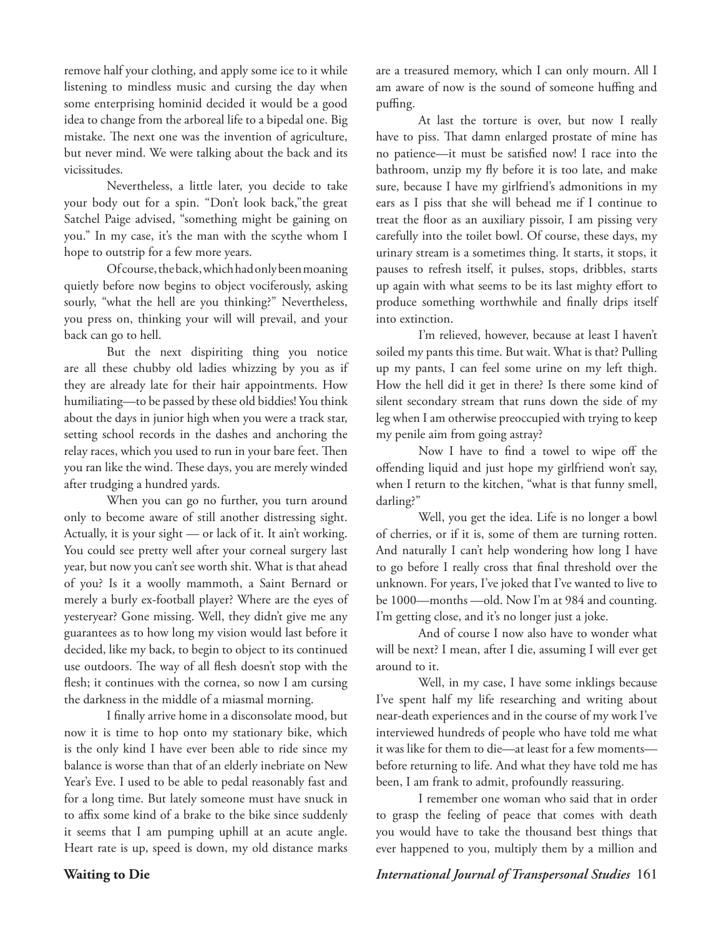remove half your clothing, and apply some ice to it while listening to mindless music and cursing the day when some enterprising hominid decided it would be a good idea to change from the arboreal life to a bipedal one. Big mistake. The next one was the invention of agriculture, but never mind. We were talking about the back and its vicissitudes.

Nevertheless, a little later, you decide to take your body out for a spin. "Don't look back,"the great Satchel Paige advised, "something might be gaining on you." In my case, it's the man with the scythe whom I hope to outstrip for a few more years.

Of course, the back, which had only been moaning quietly before now begins to object vociferously, asking sourly, "what the hell are you thinking?" Nevertheless, you press on, thinking your will will prevail, and your back can go to hell.

But the next dispiriting thing you notice are all these chubby old ladies whizzing by you as if they are already late for their hair appointments. How humiliating—to be passed by these old biddies! You think about the days in junior high when you were a track star, setting school records in the dashes and anchoring the relay races, which you used to run in your bare feet. Then you ran like the wind. These days, you are merely winded after trudging a hundred yards.

When you can go no further, you turn around only to become aware of still another distressing sight. Actually, it is your sight — or lack of it. It ain't working. You could see pretty well after your corneal surgery last year, but now you can't see worth shit. What is that ahead of you? Is it a woolly mammoth, a Saint Bernard or merely a burly ex-football player? Where are the eyes of yesteryear? Gone missing. Well, they didn't give me any guarantees as to how long my vision would last before it decided, like my back, to begin to object to its continued use outdoors. The way of all flesh doesn't stop with the flesh; it continues with the cornea, so now I am cursing the darkness in the middle of a miasmal morning.

I finally arrive home in a disconsolate mood, but now it is time to hop onto my stationary bike, which is the only kind I have ever been able to ride since my balance is worse than that of an elderly inebriate on New Year's Eve. I used to be able to pedal reasonably fast and for a long time. But lately someone must have snuck in to affix some kind of a brake to the bike since suddenly it seems that I am pumping uphill at an acute angle. Heart rate is up, speed is down, my old distance marks

are a treasured memory, which I can only mourn. All I am aware of now is the sound of someone huffing and puffing.

At last the torture is over, but now I really have to piss. That damn enlarged prostate of mine has no patience—it must be satisfied now! I race into the bathroom, unzip my fly before it is too late, and make sure, because I have my girlfriend's admonitions in my ears as I piss that she will behead me if I continue to treat the floor as an auxiliary pissoir, I am pissing very carefully into the toilet bowl. Of course, these days, my urinary stream is a sometimes thing. It starts, it stops, it pauses to refresh itself, it pulses, stops, dribbles, starts up again with what seems to be its last mighty effort to produce something worthwhile and finally drips itself into extinction.

I'm relieved, however, because at least I haven't soiled my pants this time. But wait. What is that? Pulling up my pants, I can feel some urine on my left thigh. How the hell did it get in there? Is there some kind of silent secondary stream that runs down the side of my leg when I am otherwise preoccupied with trying to keep my penile aim from going astray?

Now I have to find a towel to wipe off the offending liquid and just hope my girlfriend won't say, when I return to the kitchen, "what is that funny smell, darling?"

Well, you get the idea. Life is no longer a bowl of cherries, or if it is, some of them are turning rotten. And naturally I can't help wondering how long I have to go before I really cross that final threshold over the unknown. For years, I've joked that I've wanted to live to be 1000—months —old. Now I'm at 984 and counting. I'm getting close, and it's no longer just a joke.

And of course I now also have to wonder what will be next? I mean, after I die, assuming I will ever get around to it.

Well, in my case, I have some inklings because I've spent half my life researching and writing about near-death experiences and in the course of my work I've interviewed hundreds of people who have told me what it was like for them to die—at least for a few moments before returning to life. And what they have told me has been, I am frank to admit, profoundly reassuring.

I remember one woman who said that in order to grasp the feeling of peace that comes with death you would have to take the thousand best things that ever happened to you, multiply them by a million and